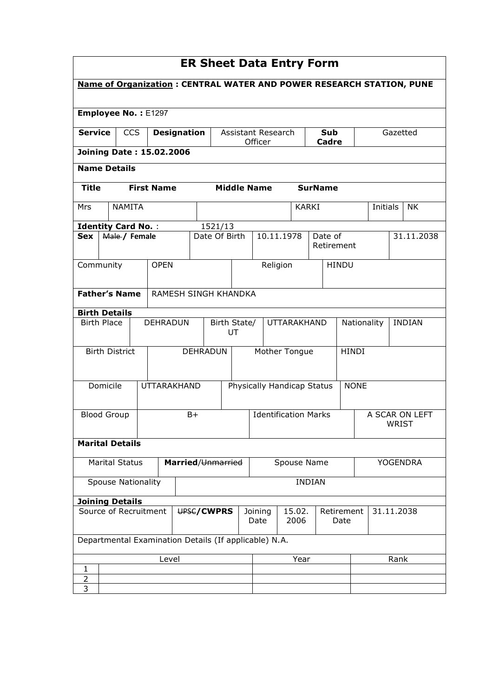| <b>ER Sheet Data Entry Form</b>                                             |                    |                           |  |                                                       |  |                    |                                                               |                             |                    |                             |             |               |                         |                              |                 |          |          |            |
|-----------------------------------------------------------------------------|--------------------|---------------------------|--|-------------------------------------------------------|--|--------------------|---------------------------------------------------------------|-----------------------------|--------------------|-----------------------------|-------------|---------------|-------------------------|------------------------------|-----------------|----------|----------|------------|
| <b>Name of Organization: CENTRAL WATER AND POWER RESEARCH STATION, PUNE</b> |                    |                           |  |                                                       |  |                    |                                                               |                             |                    |                             |             |               |                         |                              |                 |          |          |            |
| Employee No.: E1297                                                         |                    |                           |  |                                                       |  |                    |                                                               |                             |                    |                             |             |               |                         |                              |                 |          |          |            |
| <b>Service</b>                                                              |                    | <b>CCS</b>                |  | <b>Designation</b>                                    |  |                    |                                                               |                             | Officer            | Assistant Research<br>Cadre |             |               | Sub                     |                              |                 |          | Gazetted |            |
|                                                                             |                    |                           |  | <b>Joining Date: 15.02.2006</b>                       |  |                    |                                                               |                             |                    |                             |             |               |                         |                              |                 |          |          |            |
| <b>Name Details</b>                                                         |                    |                           |  |                                                       |  |                    |                                                               |                             |                    |                             |             |               |                         |                              |                 |          |          |            |
| <b>Title</b>                                                                |                    |                           |  | <b>First Name</b>                                     |  |                    |                                                               |                             | <b>Middle Name</b> |                             |             |               | <b>SurName</b>          |                              |                 |          |          |            |
| Mrs                                                                         |                    | <b>NAMITA</b>             |  |                                                       |  |                    |                                                               |                             |                    |                             |             | <b>KARKI</b>  |                         |                              |                 | Initials |          | <b>NK</b>  |
| <b>Identity Card No.:</b>                                                   |                    |                           |  |                                                       |  |                    | 1521/13                                                       |                             |                    |                             |             |               |                         |                              |                 |          |          |            |
| <b>Sex</b>                                                                  |                    | Male / Female             |  |                                                       |  |                    |                                                               | Date Of Birth               |                    |                             | 10.11.1978  |               | Date of                 | Retirement                   |                 |          |          | 31.11.2038 |
| Community                                                                   |                    |                           |  | <b>OPEN</b>                                           |  |                    |                                                               |                             |                    | Religion                    |             |               |                         | <b>HINDU</b>                 |                 |          |          |            |
| <b>Father's Name</b>                                                        |                    |                           |  | RAMESH SINGH KHANDKA                                  |  |                    |                                                               |                             |                    |                             |             |               |                         |                              |                 |          |          |            |
| <b>Birth Details</b>                                                        |                    |                           |  |                                                       |  |                    |                                                               |                             |                    |                             |             |               |                         |                              |                 |          |          |            |
| <b>Birth Place</b>                                                          |                    |                           |  | DEHRADUN                                              |  | Birth State/<br>UT |                                                               |                             |                    | <b>UTTARAKHAND</b>          |             |               |                         | Nationality<br><b>INDIAN</b> |                 |          |          |            |
|                                                                             |                    | <b>Birth District</b>     |  |                                                       |  | <b>DEHRADUN</b>    |                                                               |                             |                    | Mother Tongue               |             |               | <b>HINDI</b>            |                              |                 |          |          |            |
|                                                                             | Domicile           |                           |  | <b>UTTARAKHAND</b>                                    |  |                    | Physically Handicap Status                                    |                             |                    |                             |             |               |                         | <b>NONE</b>                  |                 |          |          |            |
|                                                                             | <b>Blood Group</b> |                           |  |                                                       |  | $B+$               |                                                               | <b>Identification Marks</b> |                    |                             |             |               | A SCAR ON LEFT<br>WRIST |                              |                 |          |          |            |
| <b>Marital Details</b>                                                      |                    |                           |  |                                                       |  |                    |                                                               |                             |                    |                             |             |               |                         |                              |                 |          |          |            |
|                                                                             |                    | <b>Marital Status</b>     |  |                                                       |  | Married/Unmarried  |                                                               |                             |                    |                             | Spouse Name |               |                         |                              | <b>YOGENDRA</b> |          |          |            |
|                                                                             |                    | <b>Spouse Nationality</b> |  |                                                       |  |                    |                                                               |                             |                    |                             |             | <b>INDIAN</b> |                         |                              |                 |          |          |            |
| <b>Joining Details</b>                                                      |                    |                           |  |                                                       |  |                    |                                                               |                             |                    |                             |             |               |                         |                              |                 |          |          |            |
| Source of Recruitment<br>UPSC/CWPRS                                         |                    |                           |  |                                                       |  | Date               | 15.02.<br>Retirement<br>31.11.2038<br>Joining<br>2006<br>Date |                             |                    |                             |             |               |                         |                              |                 |          |          |            |
|                                                                             |                    |                           |  | Departmental Examination Details (If applicable) N.A. |  |                    |                                                               |                             |                    |                             |             |               |                         |                              |                 |          |          |            |
|                                                                             |                    |                           |  | Level                                                 |  |                    |                                                               |                             | Year<br>Rank       |                             |             |               |                         |                              |                 |          |          |            |
| 1<br>$\overline{2}$                                                         |                    |                           |  |                                                       |  |                    |                                                               |                             |                    |                             |             |               |                         |                              |                 |          |          |            |
| 3                                                                           |                    |                           |  |                                                       |  |                    |                                                               |                             |                    |                             |             |               |                         |                              |                 |          |          |            |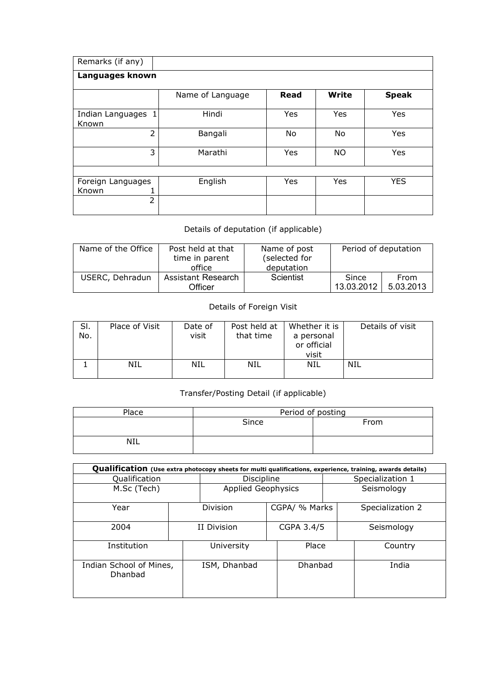| Remarks (if any)                |                  |             |           |              |  |  |  |  |  |  |  |  |
|---------------------------------|------------------|-------------|-----------|--------------|--|--|--|--|--|--|--|--|
| Languages known                 |                  |             |           |              |  |  |  |  |  |  |  |  |
|                                 | Name of Language | <b>Read</b> | Write     | <b>Speak</b> |  |  |  |  |  |  |  |  |
| Indian Languages 1<br>Known     | Hindi            | Yes         | Yes       | Yes          |  |  |  |  |  |  |  |  |
| $\overline{2}$                  | Bangali          | No          | No        | Yes          |  |  |  |  |  |  |  |  |
| 3                               | Marathi          | Yes         | <b>NO</b> | Yes          |  |  |  |  |  |  |  |  |
|                                 |                  |             |           |              |  |  |  |  |  |  |  |  |
| Foreign Languages<br>Known<br>T | English          | Yes         | Yes       | <b>YES</b>   |  |  |  |  |  |  |  |  |
| $\overline{2}$                  |                  |             |           |              |  |  |  |  |  |  |  |  |

## Details of deputation (if applicable)

| Name of the Office | Post held at that<br>time in parent<br>office | Name of post<br>(selected for<br>deputation | Period of deputation |                          |  |  |
|--------------------|-----------------------------------------------|---------------------------------------------|----------------------|--------------------------|--|--|
| USERC, Dehradun    | Assistant Research<br>Officer                 | Scientist                                   | Since<br>13.03.2012  | <b>From</b><br>5.03.2013 |  |  |

## Details of Foreign Visit

| SI.<br>No. | Place of Visit | Date of<br>visit | Post held at<br>that time | Whether it is<br>a personal<br>or official<br>visit | Details of visit |  |
|------------|----------------|------------------|---------------------------|-----------------------------------------------------|------------------|--|
|            | NIL            | NIL              | NIL                       | NIL                                                 | NIL              |  |

## Transfer/Posting Detail (if applicable)

| Place | Period of posting |      |  |  |  |  |
|-------|-------------------|------|--|--|--|--|
|       | Since             | From |  |  |  |  |
| NIL   |                   |      |  |  |  |  |

| Qualification (Use extra photocopy sheets for multi qualifications, experience, training, awards details) |                           |              |  |                  |  |                  |  |  |  |  |  |
|-----------------------------------------------------------------------------------------------------------|---------------------------|--------------|--|------------------|--|------------------|--|--|--|--|--|
| Qualification                                                                                             | Discipline                |              |  | Specialization 1 |  |                  |  |  |  |  |  |
| M.Sc (Tech)                                                                                               | <b>Applied Geophysics</b> |              |  | Seismology       |  |                  |  |  |  |  |  |
| Year                                                                                                      |                           | Division     |  | CGPA/ % Marks    |  | Specialization 2 |  |  |  |  |  |
| 2004                                                                                                      |                           | II Division  |  | CGPA 3.4/5       |  | Seismology       |  |  |  |  |  |
| Institution                                                                                               |                           | University   |  | Place            |  | Country          |  |  |  |  |  |
| Indian School of Mines,<br>Dhanbad                                                                        |                           | ISM, Dhanbad |  | Dhanbad          |  | India            |  |  |  |  |  |